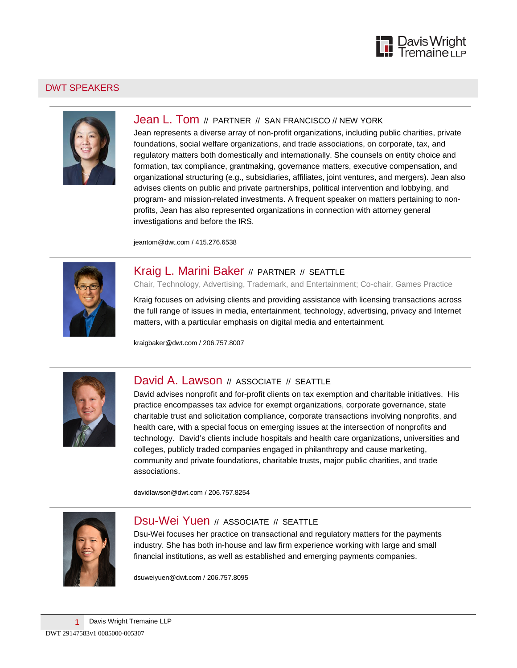

#### DWT SPEAKERS



## Jean L. Tom // PARTNER // SAN FRANCISCO // NEW YORK

Jean represents a diverse array of non-profit organizations, including public charities, private foundations, social welfare organizations, and trade associations, on corporate, tax, and regulatory matters both domestically and internationally. She counsels on entity choice and formation, tax compliance, grantmaking, governance matters, executive compensation, and organizational structuring (e.g., subsidiaries, affiliates, joint ventures, and mergers). Jean also advises clients on public and private partnerships, political intervention and lobbying, and program- and mission-related investments. A frequent speaker on matters pertaining to nonprofits, Jean has also represented organizations in connection with attorney general investigations and before the IRS.

[jeantom@dwt.com](mailto:jeantom@dwt.com) / 415.276.6538



## Kraig L. Marini Baker // PARTNER // SEATTLE

Chair, Technology, Advertising, Trademark, and Entertainment; Co-chair, Games Practice

Kraig focuses on advising clients and providing assistance with licensing transactions across the full range of issues in media, entertainment, technology, advertising, privacy and Internet matters, with a particular emphasis on digital media and entertainment.

[kraigbaker@dwt.com](mailto:kraigbaker@dwt.com) / 206.757.8007



### David A. Lawson // ASSOCIATE // SEATTLE

David advises nonprofit and for-profit clients on tax exemption and charitable initiatives. His practice encompasses tax advice for exempt organizations, corporate governance, state charitable trust and solicitation compliance, corporate transactions involving nonprofits, and health care, with a special focus on emerging issues at the intersection of nonprofits and technology. David's clients include hospitals and health care organizations, universities and colleges, publicly traded companies engaged in philanthropy and cause marketing, community and private foundations, charitable trusts, major public charities, and trade associations.

[davidlawson@dwt.com](mailto:davidlawson@dwt.com) / 206.757.8254



# **Dsu-Wei Yuen // ASSOCIATE // SEATTLE**

Dsu-Wei focuses her practice on transactional and regulatory matters for the payments industry. She has both in-house and law firm experience working with large and small financial institutions, as well as established and emerging payments companies.

[dsuweiyuen@dwt.com](mailto:dsuweiyuen@dwt.com) / 206.757.8095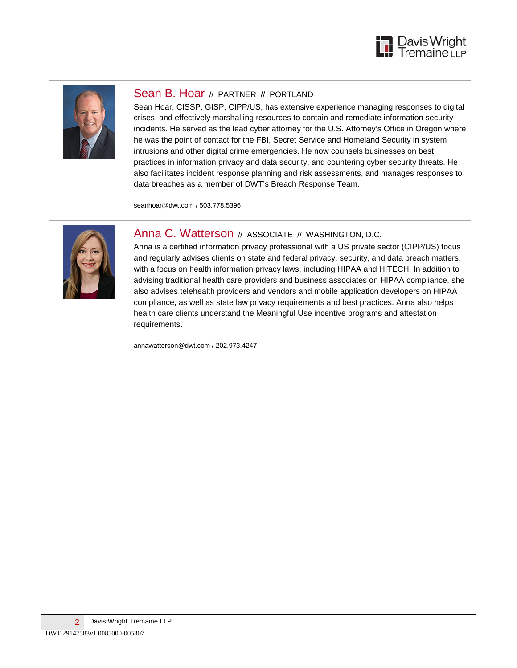



#### Sean B. Hoar // PARTNER // PORTLAND

Sean Hoar, CISSP, GISP, CIPP/US, has extensive experience managing responses to digital crises, and effectively marshalling resources to contain and remediate information security incidents. He served as the lead cyber attorney for the U.S. Attorney's Office in Oregon where he was the point of contact for the FBI, Secret Service and Homeland Security in system intrusions and other digital crime emergencies. He now counsels businesses on best practices in information privacy and data security, and countering cyber security threats. He also facilitates incident response planning and risk assessments, and manages responses to data breaches as a member of [DWT's Breach Response Team.](http://www.dwt.com/practices/incidentresponsebreachcoaching/)

[seanhoar@dwt.com](mailto:seanhoar@dwt.com) / 503.778.5396



### Anna C. Watterson // ASSOCIATE // WASHINGTON, D.C.

Anna is a certified information privacy professional with a US private sector (CIPP/US) focus and regularly advises clients on state and federal privacy, security, and data breach matters, with a focus on health information privacy laws, including HIPAA and HITECH. In addition to advising traditional health care providers and business associates on HIPAA compliance, she also advises telehealth providers and vendors and mobile application developers on HIPAA compliance, as well as state law privacy requirements and best practices. Anna also helps health care clients understand the Meaningful Use incentive programs and attestation requirements.

[annawatterson@dwt.com](mailto:annawatterson@dwt.com) / 202.973.4247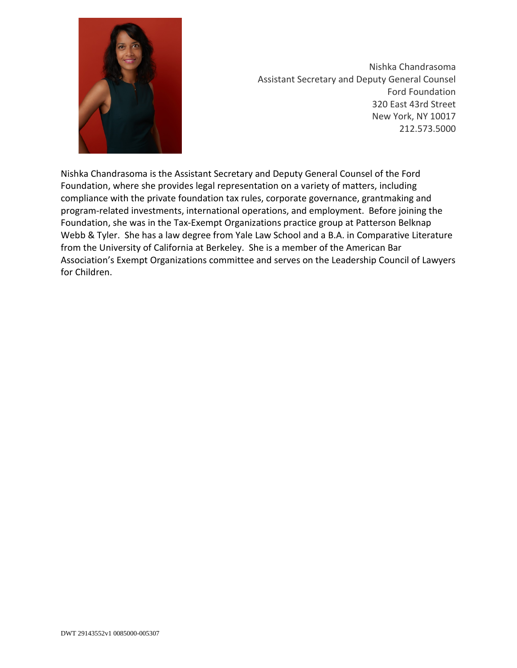

Nishka Chandrasoma Assistant Secretary and Deputy General Counsel Ford Foundation 320 East 43rd Street New York, NY 10017 212.573.5000

Nishka Chandrasoma is the Assistant Secretary and Deputy General Counsel of the Ford Foundation, where she provides legal representation on a variety of matters, including compliance with the private foundation tax rules, corporate governance, grantmaking and program-related investments, international operations, and employment. Before joining the Foundation, she was in the Tax-Exempt Organizations practice group at Patterson Belknap Webb & Tyler. She has a law degree from Yale Law School and a B.A. in Comparative Literature from the University of California at Berkeley. She is a member of the American Bar Association's Exempt Organizations committee and serves on the Leadership Council of Lawyers for Children.